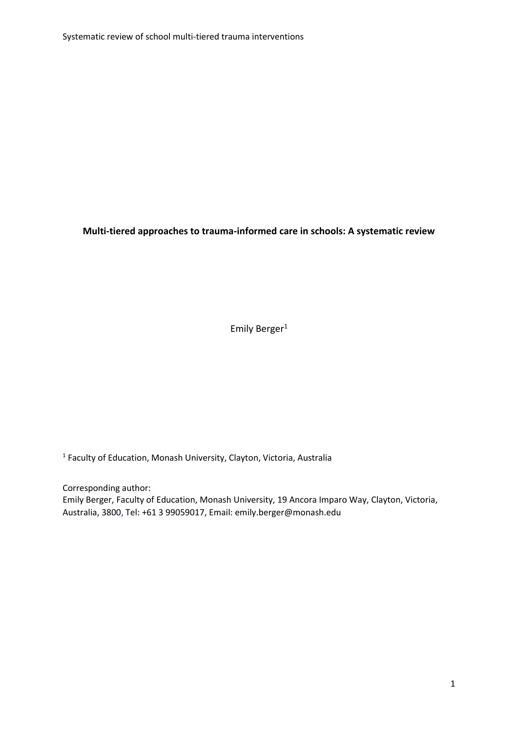Systematic review of school multi-tiered trauma interventions

**Multi-tiered approaches to trauma-informed care in schools: A systematic review** 

Emily Berger<sup>1</sup>

<sup>1</sup> Faculty of Education, Monash University, Clayton, Victoria, Australia

Corresponding author: Emily Berger, Faculty of Education, Monash University, 19 Ancora Imparo Way, Clayton, Victoria, Australia, 3800, Tel: +61 3 99059017, Email: [emily.berger@monash.edu](mailto:emily.berger@monash.edu)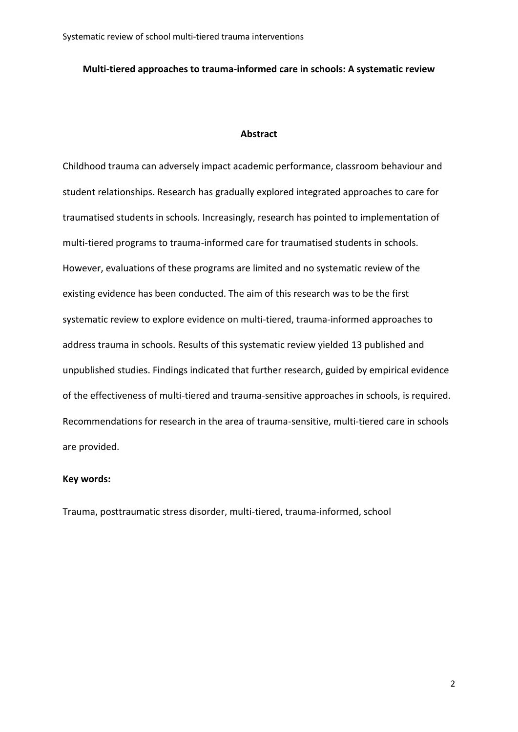Systematic review of school multi-tiered trauma interventions

### **Multi-tiered approaches to trauma-informed care in schools: A systematic review**

#### **Abstract**

Childhood trauma can adversely impact academic performance, classroom behaviour and student relationships. Research has gradually explored integrated approaches to care for traumatised students in schools. Increasingly, research has pointed to implementation of multi-tiered programs to trauma-informed care for traumatised students in schools. However, evaluations of these programs are limited and no systematic review of the existing evidence has been conducted. The aim of this research was to be the first systematic review to explore evidence on multi-tiered, trauma-informed approaches to address trauma in schools. Results of this systematic review yielded 13 published and unpublished studies. Findings indicated that further research, guided by empirical evidence of the effectiveness of multi-tiered and trauma-sensitive approaches in schools, is required. Recommendations for research in the area of trauma-sensitive, multi-tiered care in schools are provided.

# **Key words:**

Trauma, posttraumatic stress disorder, multi-tiered, trauma-informed, school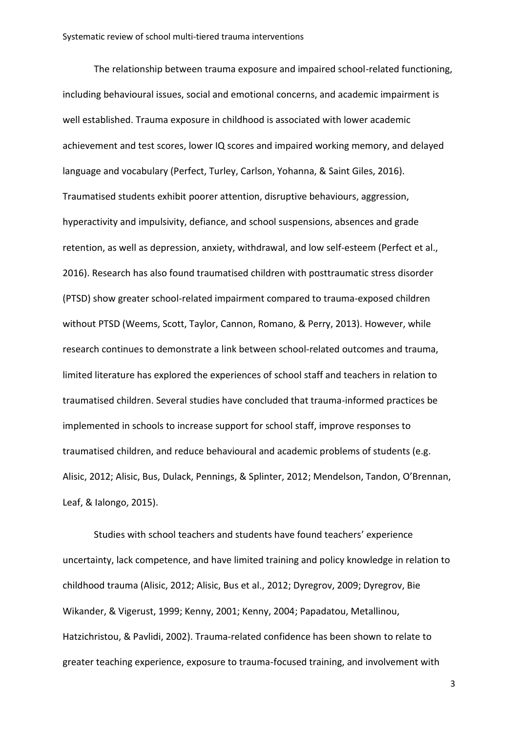The relationship between trauma exposure and impaired school-related functioning, including behavioural issues, social and emotional concerns, and academic impairment is well established. Trauma exposure in childhood is associated with lower academic achievement and test scores, lower IQ scores and impaired working memory, and delayed language and vocabulary (Perfect, Turley, Carlson, Yohanna, & Saint Giles, 2016). Traumatised students exhibit poorer attention, disruptive behaviours, aggression, hyperactivity and impulsivity, defiance, and school suspensions, absences and grade retention, as well as depression, anxiety, withdrawal, and low self-esteem (Perfect et al., 2016). Research has also found traumatised children with posttraumatic stress disorder (PTSD) show greater school-related impairment compared to trauma-exposed children without PTSD (Weems, Scott, Taylor, Cannon, Romano, & Perry, 2013). However, while research continues to demonstrate a link between school-related outcomes and trauma, limited literature has explored the experiences of school staff and teachers in relation to traumatised children. Several studies have concluded that trauma-informed practices be implemented in schools to increase support for school staff, improve responses to traumatised children, and reduce behavioural and academic problems of students (e.g. Alisic, 2012; Alisic, Bus, Dulack, Pennings, & Splinter, 2012; Mendelson, Tandon, O'Brennan, Leaf, & Ialongo, 2015).

Studies with school teachers and students have found teachers' experience uncertainty, lack competence, and have limited training and policy knowledge in relation to childhood trauma (Alisic, 2012; Alisic, Bus et al., 2012; Dyregrov, 2009; Dyregrov, Bie Wikander, & Vigerust, 1999; Kenny, 2001; Kenny, 2004; Papadatou, Metallinou, Hatzichristou, & Pavlidi, 2002). Trauma-related confidence has been shown to relate to greater teaching experience, exposure to trauma-focused training, and involvement with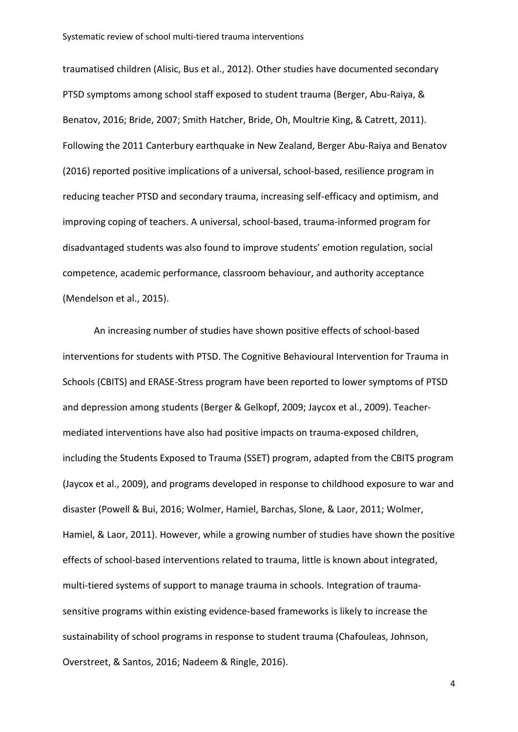traumatised children (Alisic, Bus et al., 2012). Other studies have documented secondary PTSD symptoms among school staff exposed to student trauma (Berger, Abu-Raiya, & Benatov, 2016; Bride, 2007; Smith Hatcher, Bride, Oh, Moultrie King, & Catrett, 2011). Following the 2011 Canterbury earthquake in New Zealand, Berger Abu-Raiya and Benatov (2016) reported positive implications of a universal, school-based, resilience program in reducing teacher PTSD and secondary trauma, increasing self-efficacy and optimism, and improving coping of teachers. A universal, school-based, trauma-informed program for disadvantaged students was also found to improve students' emotion regulation, social competence, academic performance, classroom behaviour, and authority acceptance (Mendelson et al., 2015).

An increasing number of studies have shown positive effects of school-based interventions for students with PTSD. The Cognitive Behavioural Intervention for Trauma in Schools (CBITS) and ERASE-Stress program have been reported to lower symptoms of PTSD and depression among students (Berger & Gelkopf, 2009; Jaycox et al., 2009). Teachermediated interventions have also had positive impacts on trauma-exposed children, including the Students Exposed to Trauma (SSET) program, adapted from the CBITS program (Jaycox et al., 2009), and programs developed in response to childhood exposure to war and disaster (Powell & Bui, 2016; Wolmer, Hamiel, Barchas, Slone, & Laor, 2011; Wolmer, Hamiel, & Laor, 2011). However, while a growing number of studies have shown the positive effects of school-based interventions related to trauma, little is known about integrated, multi-tiered systems of support to manage trauma in schools. Integration of traumasensitive programs within existing evidence-based frameworks is likely to increase the sustainability of school programs in response to student trauma (Chafouleas, Johnson, Overstreet, & Santos, 2016; Nadeem & Ringle, 2016).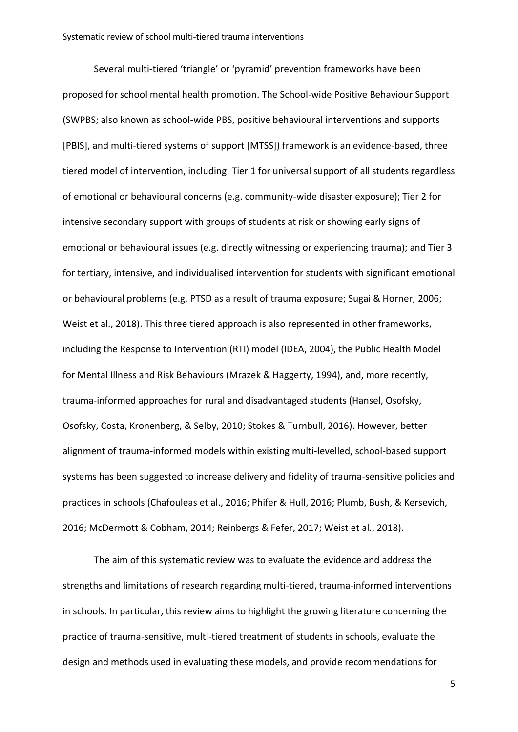Several multi-tiered 'triangle' or 'pyramid' prevention frameworks have been proposed for school mental health promotion. The School-wide Positive Behaviour Support (SWPBS; also known as school-wide PBS, positive behavioural interventions and supports [PBIS], and multi-tiered systems of support [MTSS]) framework is an evidence-based, three tiered model of intervention, including: Tier 1 for universal support of all students regardless of emotional or behavioural concerns (e.g. community-wide disaster exposure); Tier 2 for intensive secondary support with groups of students at risk or showing early signs of emotional or behavioural issues (e.g. directly witnessing or experiencing trauma); and Tier 3 for tertiary, intensive, and individualised intervention for students with significant emotional or behavioural problems (e.g. PTSD as a result of trauma exposure; Sugai & Horner, 2006; Weist et al., 2018). This three tiered approach is also represented in other frameworks, including the Response to Intervention (RTI) model (IDEA, 2004), the Public Health Model for Mental Illness and Risk Behaviours (Mrazek & Haggerty, 1994), and, more recently, trauma-informed approaches for rural and disadvantaged students (Hansel, Osofsky, Osofsky, Costa, Kronenberg, & Selby, 2010; Stokes & Turnbull, 2016). However, better alignment of trauma-informed models within existing multi-levelled, school-based support systems has been suggested to increase delivery and fidelity of trauma-sensitive policies and practices in schools (Chafouleas et al., 2016; Phifer & Hull, 2016; Plumb, Bush, & Kersevich, 2016; McDermott & Cobham, 2014; Reinbergs & Fefer, 2017; Weist et al., 2018).

The aim of this systematic review was to evaluate the evidence and address the strengths and limitations of research regarding multi-tiered, trauma-informed interventions in schools. In particular, this review aims to highlight the growing literature concerning the practice of trauma-sensitive, multi-tiered treatment of students in schools, evaluate the design and methods used in evaluating these models, and provide recommendations for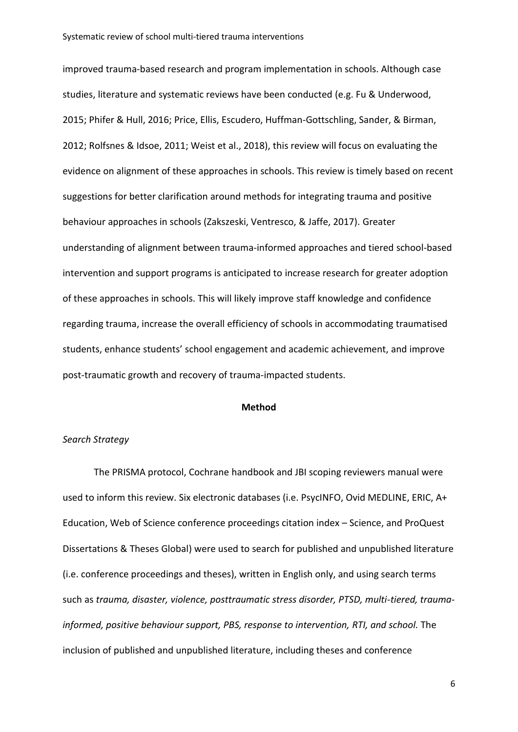improved trauma-based research and program implementation in schools. Although case studies, literature and systematic reviews have been conducted (e.g. Fu & Underwood, 2015; Phifer & Hull, 2016; Price, Ellis, Escudero, Huffman-Gottschling, Sander, & Birman, 2012; Rolfsnes & Idsoe, 2011; Weist et al., 2018), this review will focus on evaluating the evidence on alignment of these approaches in schools. This review is timely based on recent suggestions for better clarification around methods for integrating trauma and positive behaviour approaches in schools (Zakszeski, Ventresco, & Jaffe, 2017). Greater understanding of alignment between trauma-informed approaches and tiered school-based intervention and support programs is anticipated to increase research for greater adoption of these approaches in schools. This will likely improve staff knowledge and confidence regarding trauma, increase the overall efficiency of schools in accommodating traumatised students, enhance students' school engagement and academic achievement, and improve post-traumatic growth and recovery of trauma-impacted students.

### **Method**

### *Search Strategy*

The PRISMA protocol, Cochrane handbook and JBI scoping reviewers manual were used to inform this review. Six electronic databases (i.e. PsycINFO, Ovid MEDLINE, ERIC, A+ Education, Web of Science [conference proceedings citation index](http://ezproxy.lib.monash.edu.au/login?url=http://isiknowledge.com) – Science, and [ProQuest](http://ezproxy.lib.monash.edu.au/login?url=https://search.proquest.com/pqdtglobal/advanced?accountid=12528)  [Dissertations & Theses Global\)](http://ezproxy.lib.monash.edu.au/login?url=https://search.proquest.com/pqdtglobal/advanced?accountid=12528) were used to search for published and unpublished literature (i.e. conference proceedings and theses), written in English only, and using search terms such as *trauma, disaster, violence, posttraumatic stress disorder, PTSD, multi-tiered, traumainformed, positive behaviour support, PBS, response to intervention, RTI, and school.* The inclusion of published and unpublished literature, including theses and conference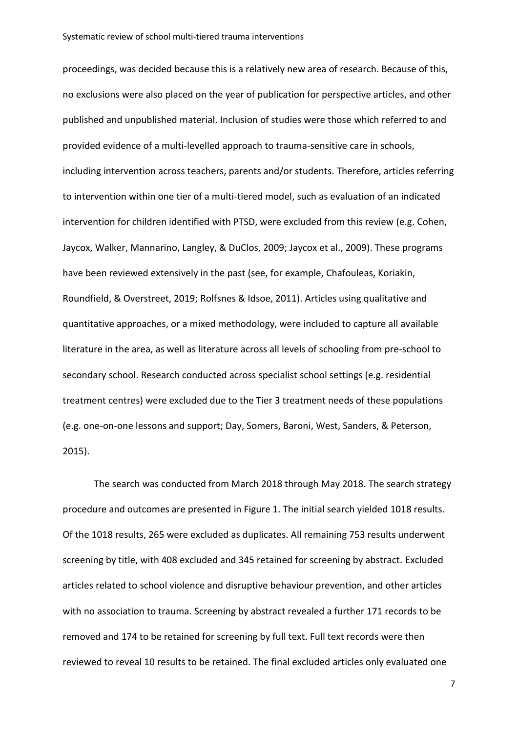proceedings, was decided because this is a relatively new area of research. Because of this, no exclusions were also placed on the year of publication for perspective articles, and other published and unpublished material. Inclusion of studies were those which referred to and provided evidence of a multi-levelled approach to trauma-sensitive care in schools, including intervention across teachers, parents and/or students. Therefore, articles referring to intervention within one tier of a multi-tiered model, such as evaluation of an indicated intervention for children identified with PTSD, were excluded from this review (e.g. Cohen, Jaycox, Walker, Mannarino, Langley, & DuClos, 2009; Jaycox et al., 2009). These programs have been reviewed extensively in the past (see, for example, Chafouleas, Koriakin, Roundfield, & Overstreet, 2019; Rolfsnes & Idsoe, 2011). Articles using qualitative and quantitative approaches, or a mixed methodology, were included to capture all available literature in the area, as well as literature across all levels of schooling from pre-school to secondary school. Research conducted across specialist school settings (e.g. residential treatment centres) were excluded due to the Tier 3 treatment needs of these populations (e.g. one-on-one lessons and support; Day, Somers, Baroni, West, Sanders, & Peterson, 2015).

The search was conducted from March 2018 through May 2018. The search strategy procedure and outcomes are presented in Figure 1. The initial search yielded 1018 results. Of the 1018 results, 265 were excluded as duplicates. All remaining 753 results underwent screening by title, with 408 excluded and 345 retained for screening by abstract. Excluded articles related to school violence and disruptive behaviour prevention, and other articles with no association to trauma. Screening by abstract revealed a further 171 records to be removed and 174 to be retained for screening by full text. Full text records were then reviewed to reveal 10 results to be retained. The final excluded articles only evaluated one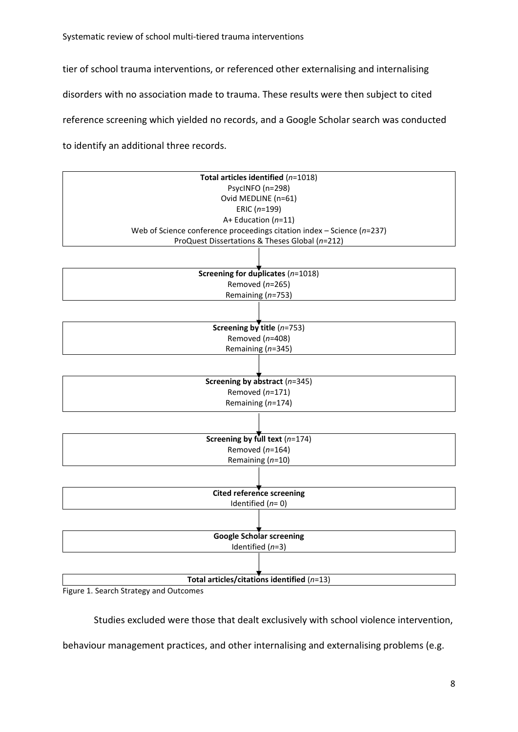Systematic review of school multi-tiered trauma interventions

tier of school trauma interventions, or referenced other externalising and internalising disorders with no association made to trauma. These results were then subject to cited reference screening which yielded no records, and a Google Scholar search was conducted to identify an additional three records.



Figure 1. Search Strategy and Outcomes

Studies excluded were those that dealt exclusively with school violence intervention,

behaviour management practices, and other internalising and externalising problems (e.g.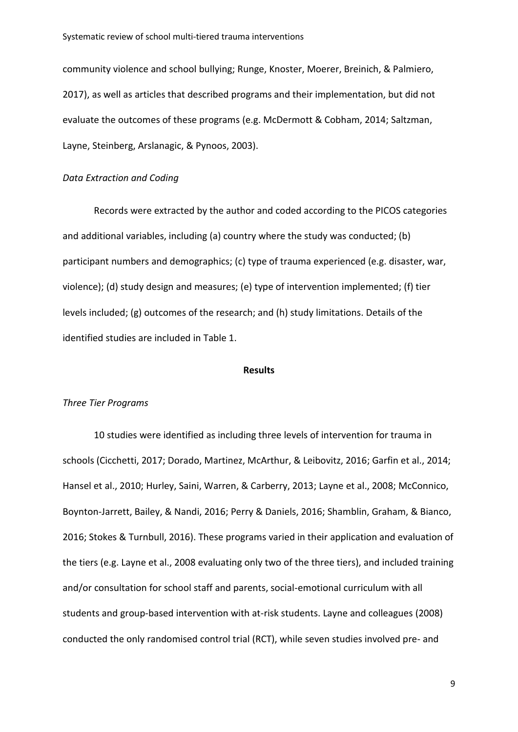#### Systematic review of school multi-tiered trauma interventions

community violence and school bullying; Runge, Knoster, Moerer, Breinich, & Palmiero, 2017), as well as articles that described programs and their implementation, but did not evaluate the outcomes of these programs (e.g. McDermott & Cobham, 2014; Saltzman, Layne, Steinberg, Arslanagic, & Pynoos, 2003).

# *Data Extraction and Coding*

Records were extracted by the author and coded according to the PICOS categories and additional variables, including (a) country where the study was conducted; (b) participant numbers and demographics; (c) type of trauma experienced (e.g. disaster, war, violence); (d) study design and measures; (e) type of intervention implemented; (f) tier levels included; (g) outcomes of the research; and (h) study limitations. Details of the identified studies are included in Table 1.

# **Results**

#### *Three Tier Programs*

10 studies were identified as including three levels of intervention for trauma in schools (Cicchetti, 2017; Dorado, Martinez, McArthur, & Leibovitz, 2016; Garfin et al., 2014; Hansel et al., 2010; Hurley, Saini, Warren, & Carberry, 2013; Layne et al., 2008; McConnico, Boynton-Jarrett, Bailey, & Nandi, 2016; Perry & Daniels, 2016; Shamblin, Graham, & Bianco, 2016; Stokes & Turnbull, 2016). These programs varied in their application and evaluation of the tiers (e.g. Layne et al., 2008 evaluating only two of the three tiers), and included training and/or consultation for school staff and parents, social-emotional curriculum with all students and group-based intervention with at-risk students. Layne and colleagues (2008) conducted the only randomised control trial (RCT), while seven studies involved pre- and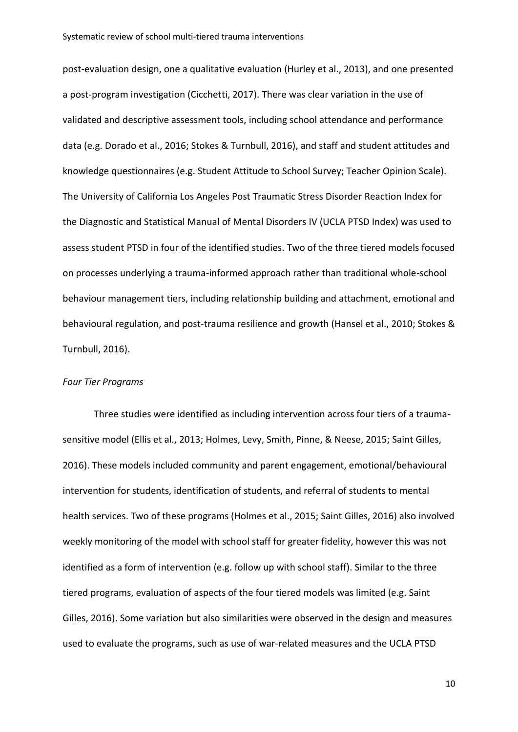post-evaluation design, one a qualitative evaluation (Hurley et al., 2013), and one presented a post-program investigation (Cicchetti, 2017). There was clear variation in the use of validated and descriptive assessment tools, including school attendance and performance data (e.g. Dorado et al., 2016; Stokes & Turnbull, 2016), and staff and student attitudes and knowledge questionnaires (e.g. Student Attitude to School Survey; Teacher Opinion Scale). The University of California Los Angeles Post Traumatic Stress Disorder Reaction Index for the Diagnostic and Statistical Manual of Mental Disorders IV (UCLA PTSD Index) was used to assess student PTSD in four of the identified studies. Two of the three tiered models focused on processes underlying a trauma-informed approach rather than traditional whole-school behaviour management tiers, including relationship building and attachment, emotional and behavioural regulation, and post-trauma resilience and growth (Hansel et al., 2010; Stokes & Turnbull, 2016).

#### *Four Tier Programs*

Three studies were identified as including intervention across four tiers of a traumasensitive model (Ellis et al., 2013; Holmes, Levy, Smith, Pinne, & Neese, 2015; Saint Gilles, 2016). These models included community and parent engagement, emotional/behavioural intervention for students, identification of students, and referral of students to mental health services. Two of these programs (Holmes et al., 2015; Saint Gilles, 2016) also involved weekly monitoring of the model with school staff for greater fidelity, however this was not identified as a form of intervention (e.g. follow up with school staff). Similar to the three tiered programs, evaluation of aspects of the four tiered models was limited (e.g. Saint Gilles, 2016). Some variation but also similarities were observed in the design and measures used to evaluate the programs, such as use of war-related measures and the UCLA PTSD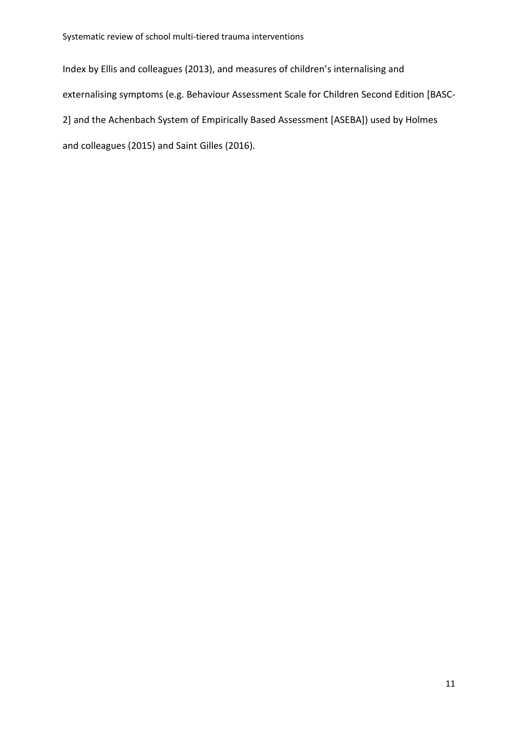Index by Ellis and colleagues (2013), and measures of children's internalising and externalising symptoms (e.g. Behaviour Assessment Scale for Children Second Edition [BASC-2] and the Achenbach System of Empirically Based Assessment [ASEBA]) used by Holmes and colleagues (2015) and Saint Gilles (2016).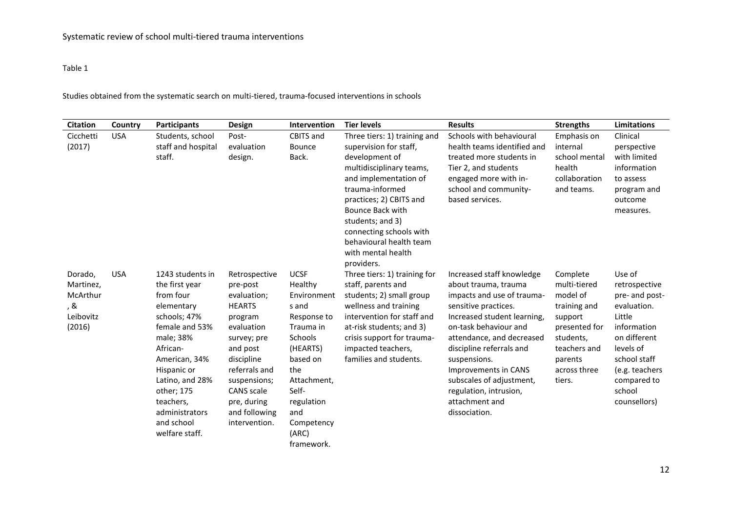# Table 1

Studies obtained from the systematic search on multi-tiered, trauma-focused interventions in schools

| <b>Citation</b>                                                | Country    | <b>Participants</b>                                                                                                                                                                                                                                      | Design                                                                                                                                                                                                                             | <b>Intervention</b>                                                                                                                                                                                    | <b>Tier levels</b>                                                                                                                                                                                                                                                                                            | <b>Results</b>                                                                                                                                                                                                                                                                                                                                            | <b>Strengths</b>                                                                                                                                   | <b>Limitations</b>                                                                                                                                                                        |
|----------------------------------------------------------------|------------|----------------------------------------------------------------------------------------------------------------------------------------------------------------------------------------------------------------------------------------------------------|------------------------------------------------------------------------------------------------------------------------------------------------------------------------------------------------------------------------------------|--------------------------------------------------------------------------------------------------------------------------------------------------------------------------------------------------------|---------------------------------------------------------------------------------------------------------------------------------------------------------------------------------------------------------------------------------------------------------------------------------------------------------------|-----------------------------------------------------------------------------------------------------------------------------------------------------------------------------------------------------------------------------------------------------------------------------------------------------------------------------------------------------------|----------------------------------------------------------------------------------------------------------------------------------------------------|-------------------------------------------------------------------------------------------------------------------------------------------------------------------------------------------|
| Cicchetti<br>(2017)                                            | <b>USA</b> | Students, school<br>staff and hospital<br>staff.                                                                                                                                                                                                         | Post-<br>evaluation<br>design.                                                                                                                                                                                                     | <b>CBITS and</b><br><b>Bounce</b><br>Back.                                                                                                                                                             | Three tiers: 1) training and<br>supervision for staff,<br>development of<br>multidisciplinary teams,<br>and implementation of<br>trauma-informed<br>practices; 2) CBITS and<br>Bounce Back with<br>students; and 3)<br>connecting schools with<br>behavioural health team<br>with mental health<br>providers. | Schools with behavioural<br>health teams identified and<br>treated more students in<br>Tier 2, and students<br>engaged more with in-<br>school and community-<br>based services.                                                                                                                                                                          | Emphasis on<br>internal<br>school mental<br>health<br>collaboration<br>and teams.                                                                  | Clinical<br>perspective<br>with limited<br>information<br>to assess<br>program and<br>outcome<br>measures.                                                                                |
| Dorado,<br>Martinez,<br>McArthur<br>, &<br>Leibovitz<br>(2016) | <b>USA</b> | 1243 students in<br>the first year<br>from four<br>elementary<br>schools; 47%<br>female and 53%<br>male; 38%<br>African-<br>American, 34%<br>Hispanic or<br>Latino, and 28%<br>other; 175<br>teachers,<br>administrators<br>and school<br>welfare staff. | Retrospective<br>pre-post<br>evaluation;<br><b>HEARTS</b><br>program<br>evaluation<br>survey; pre<br>and post<br>discipline<br>referrals and<br>suspensions;<br><b>CANS</b> scale<br>pre, during<br>and following<br>intervention. | <b>UCSF</b><br>Healthy<br>Environment<br>s and<br>Response to<br>Trauma in<br>Schools<br>(HEARTS)<br>based on<br>the<br>Attachment,<br>Self-<br>regulation<br>and<br>Competency<br>(ARC)<br>framework. | Three tiers: 1) training for<br>staff, parents and<br>students; 2) small group<br>wellness and training<br>intervention for staff and<br>at-risk students; and 3)<br>crisis support for trauma-<br>impacted teachers,<br>families and students.                                                               | Increased staff knowledge<br>about trauma, trauma<br>impacts and use of trauma-<br>sensitive practices.<br>Increased student learning,<br>on-task behaviour and<br>attendance, and decreased<br>discipline referrals and<br>suspensions.<br>Improvements in CANS<br>subscales of adjustment,<br>regulation, intrusion,<br>attachment and<br>dissociation. | Complete<br>multi-tiered<br>model of<br>training and<br>support<br>presented for<br>students,<br>teachers and<br>parents<br>across three<br>tiers. | Use of<br>retrospective<br>pre- and post-<br>evaluation.<br>Little<br>information<br>on different<br>levels of<br>school staff<br>(e.g. teachers<br>compared to<br>school<br>counsellors) |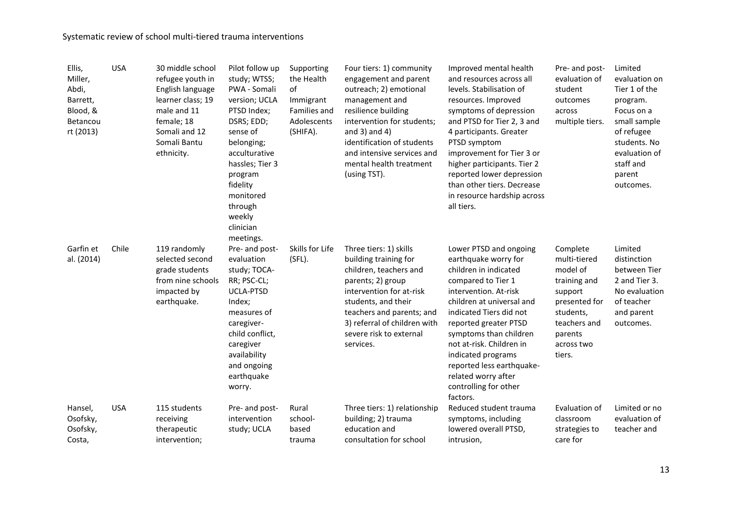| Ellis,<br>Miller,<br>Abdi,<br>Barrett,<br>Blood, &<br>Betancou<br>rt (2013) | <b>USA</b> | 30 middle school<br>refugee youth in<br>English language<br>learner class; 19<br>male and 11<br>female; 18<br>Somali and 12<br>Somali Bantu<br>ethnicity. | Pilot follow up<br>study; WTSS;<br>PWA - Somali<br>version; UCLA<br>PTSD Index;<br>DSRS; EDD;<br>sense of<br>belonging;<br>acculturative<br>hassles; Tier 3<br>program<br>fidelity<br>monitored<br>through<br>weekly<br>clinician<br>meetings. | Supporting<br>the Health<br>of<br>Immigrant<br>Families and<br>Adolescents<br>(SHIFA). | Four tiers: 1) community<br>engagement and parent<br>outreach; 2) emotional<br>management and<br>resilience building<br>intervention for students;<br>and $3)$ and $4)$<br>identification of students<br>and intensive services and<br>mental health treatment<br>(using TST). | Improved mental health<br>and resources across all<br>levels. Stabilisation of<br>resources. Improved<br>symptoms of depression<br>and PTSD for Tier 2, 3 and<br>4 participants. Greater<br>PTSD symptom<br>improvement for Tier 3 or<br>higher participants. Tier 2<br>reported lower depression<br>than other tiers. Decrease<br>in resource hardship across<br>all tiers. | Pre- and post-<br>evaluation of<br>student<br>outcomes<br>across<br>multiple tiers.                                                              | Limited<br>evaluation on<br>Tier 1 of the<br>program.<br>Focus on a<br>small sample<br>of refugee<br>students. No<br>evaluation of<br>staff and<br>parent<br>outcomes. |
|-----------------------------------------------------------------------------|------------|-----------------------------------------------------------------------------------------------------------------------------------------------------------|------------------------------------------------------------------------------------------------------------------------------------------------------------------------------------------------------------------------------------------------|----------------------------------------------------------------------------------------|--------------------------------------------------------------------------------------------------------------------------------------------------------------------------------------------------------------------------------------------------------------------------------|------------------------------------------------------------------------------------------------------------------------------------------------------------------------------------------------------------------------------------------------------------------------------------------------------------------------------------------------------------------------------|--------------------------------------------------------------------------------------------------------------------------------------------------|------------------------------------------------------------------------------------------------------------------------------------------------------------------------|
| Garfin et<br>al. (2014)                                                     | Chile      | 119 randomly<br>selected second<br>grade students<br>from nine schools<br>impacted by<br>earthquake.                                                      | Pre- and post-<br>evaluation<br>study; TOCA-<br>RR; PSC-CL;<br><b>UCLA-PTSD</b><br>Index;<br>measures of<br>caregiver-<br>child conflict,<br>caregiver<br>availability<br>and ongoing<br>earthquake<br>worry.                                  | Skills for Life<br>(SFL).                                                              | Three tiers: 1) skills<br>building training for<br>children, teachers and<br>parents; 2) group<br>intervention for at-risk<br>students, and their<br>teachers and parents; and<br>3) referral of children with<br>severe risk to external<br>services.                         | Lower PTSD and ongoing<br>earthquake worry for<br>children in indicated<br>compared to Tier 1<br>intervention. At-risk<br>children at universal and<br>indicated Tiers did not<br>reported greater PTSD<br>symptoms than children<br>not at-risk. Children in<br>indicated programs<br>reported less earthquake-<br>related worry after<br>controlling for other<br>factors. | Complete<br>multi-tiered<br>model of<br>training and<br>support<br>presented for<br>students,<br>teachers and<br>parents<br>across two<br>tiers. | Limited<br>distinction<br>between Tier<br>2 and Tier 3.<br>No evaluation<br>of teacher<br>and parent<br>outcomes.                                                      |
| Hansel,<br>Osofsky,<br>Osofsky,<br>Costa,                                   | <b>USA</b> | 115 students<br>receiving<br>therapeutic<br>intervention;                                                                                                 | Pre- and post-<br>intervention<br>study; UCLA                                                                                                                                                                                                  | Rural<br>school-<br>based<br>trauma                                                    | Three tiers: 1) relationship<br>building; 2) trauma<br>education and<br>consultation for school                                                                                                                                                                                | Reduced student trauma<br>symptoms, including<br>lowered overall PTSD,<br>intrusion,                                                                                                                                                                                                                                                                                         | Evaluation of<br>classroom<br>strategies to<br>care for                                                                                          | Limited or no<br>evaluation of<br>teacher and                                                                                                                          |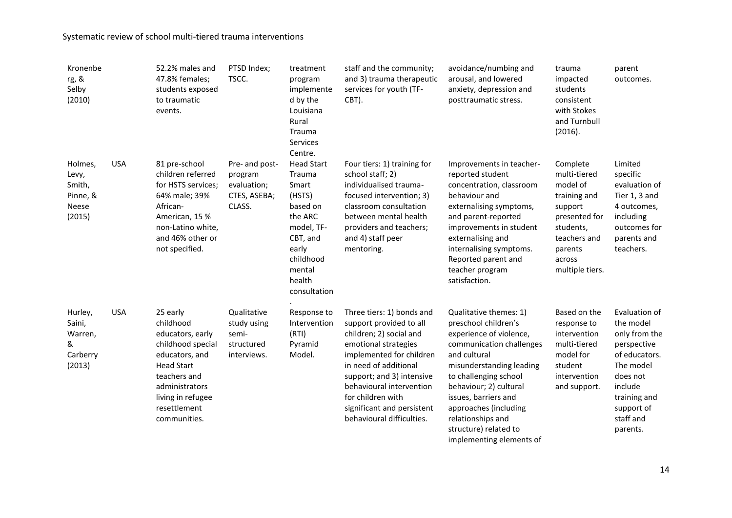| Kronenbe<br>rg, &<br>Selby<br>(2010)                      |            | 52.2% males and<br>47.8% females;<br>students exposed<br>to traumatic<br>events.                                                                                                             | PTSD Index;<br>TSCC.                                               | treatment<br>program<br>implemente<br>d by the<br>Louisiana<br>Rural<br>Trauma<br>Services<br>Centre.                                                     | staff and the community;<br>and 3) trauma therapeutic<br>services for youth (TF-<br>CBT).                                                                                                                                                                                                             | avoidance/numbing and<br>arousal, and lowered<br>anxiety, depression and<br>posttraumatic stress.                                                                                                                                                                                                                               | trauma<br>impacted<br>students<br>consistent<br>with Stokes<br>and Turnbull<br>(2016).                                                                | parent<br>outcomes.                                                                                                                                                    |
|-----------------------------------------------------------|------------|----------------------------------------------------------------------------------------------------------------------------------------------------------------------------------------------|--------------------------------------------------------------------|-----------------------------------------------------------------------------------------------------------------------------------------------------------|-------------------------------------------------------------------------------------------------------------------------------------------------------------------------------------------------------------------------------------------------------------------------------------------------------|---------------------------------------------------------------------------------------------------------------------------------------------------------------------------------------------------------------------------------------------------------------------------------------------------------------------------------|-------------------------------------------------------------------------------------------------------------------------------------------------------|------------------------------------------------------------------------------------------------------------------------------------------------------------------------|
| Holmes,<br>Levy,<br>Smith,<br>Pinne, &<br>Neese<br>(2015) | <b>USA</b> | 81 pre-school<br>children referred<br>for HSTS services;<br>64% male; 39%<br>African-<br>American, 15 %<br>non-Latino white,<br>and 46% other or<br>not specified.                           | Pre- and post-<br>program<br>evaluation;<br>CTES, ASEBA;<br>CLASS. | <b>Head Start</b><br>Trauma<br>Smart<br>(HSTS)<br>based on<br>the ARC<br>model, TF-<br>CBT, and<br>early<br>childhood<br>mental<br>health<br>consultation | Four tiers: 1) training for<br>school staff; 2)<br>individualised trauma-<br>focused intervention; 3)<br>classroom consultation<br>between mental health<br>providers and teachers;<br>and 4) staff peer<br>mentoring.                                                                                | Improvements in teacher-<br>reported student<br>concentration, classroom<br>behaviour and<br>externalising symptoms,<br>and parent-reported<br>improvements in student<br>externalising and<br>internalising symptoms.<br>Reported parent and<br>teacher program<br>satisfaction.                                               | Complete<br>multi-tiered<br>model of<br>training and<br>support<br>presented for<br>students,<br>teachers and<br>parents<br>across<br>multiple tiers. | Limited<br>specific<br>evaluation of<br>Tier 1, 3 and<br>4 outcomes,<br>including<br>outcomes for<br>parents and<br>teachers.                                          |
| Hurley,<br>Saini,<br>Warren,<br>&<br>Carberry<br>(2013)   | <b>USA</b> | 25 early<br>childhood<br>educators, early<br>childhood special<br>educators, and<br><b>Head Start</b><br>teachers and<br>administrators<br>living in refugee<br>resettlement<br>communities. | Qualitative<br>study using<br>semi-<br>structured<br>interviews.   | Response to<br>Intervention<br>(RTI)<br>Pyramid<br>Model.                                                                                                 | Three tiers: 1) bonds and<br>support provided to all<br>children; 2) social and<br>emotional strategies<br>implemented for children<br>in need of additional<br>support; and 3) intensive<br>behavioural intervention<br>for children with<br>significant and persistent<br>behavioural difficulties. | Qualitative themes: 1)<br>preschool children's<br>experience of violence,<br>communication challenges<br>and cultural<br>misunderstanding leading<br>to challenging school<br>behaviour; 2) cultural<br>issues, barriers and<br>approaches (including<br>relationships and<br>structure) related to<br>implementing elements of | Based on the<br>response to<br>intervention<br>multi-tiered<br>model for<br>student<br>intervention<br>and support.                                   | Evaluation of<br>the model<br>only from the<br>perspective<br>of educators.<br>The model<br>does not<br>include<br>training and<br>support of<br>staff and<br>parents. |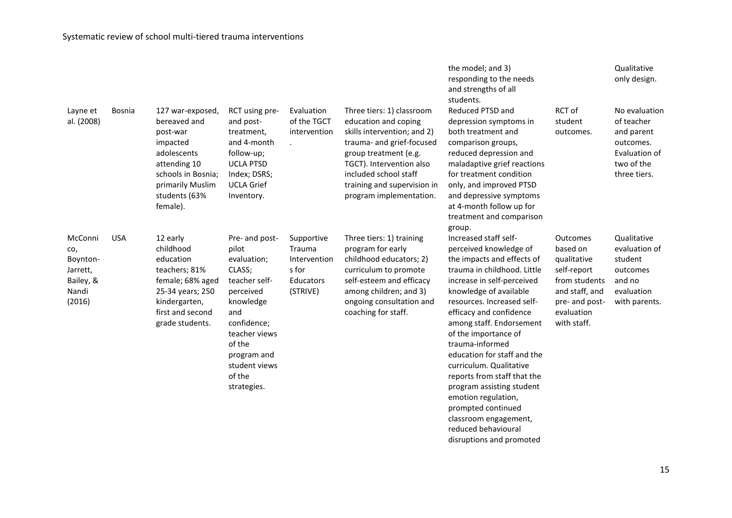| Layne et<br>al. (2008)                                                 | Bosnia     | 127 war-exposed,<br>bereaved and<br>post-war<br>impacted<br>adolescents<br>attending 10<br>schools in Bosnia;<br>primarily Muslim<br>students (63%<br>female). | RCT using pre-<br>and post-<br>treatment,<br>and 4-month<br>follow-up;<br><b>UCLA PTSD</b><br>Index; DSRS;<br><b>UCLA Grief</b><br>Inventory.                                                         | Evaluation<br>of the TGCT<br>intervention                              | Three tiers: 1) classroom<br>education and coping<br>skills intervention; and 2)<br>trauma- and grief-focused<br>group treatment (e.g.<br>TGCT). Intervention also<br>included school staff<br>training and supervision in<br>program implementation. | the model; and 3)<br>responding to the needs<br>and strengths of all<br>students.<br>Reduced PTSD and<br>depression symptoms in<br>both treatment and<br>comparison groups,<br>reduced depression and<br>maladaptive grief reactions<br>for treatment condition<br>only, and improved PTSD<br>and depressive symptoms<br>at 4-month follow up for<br>treatment and comparison                                                                                                                                                     | RCT of<br>student<br>outcomes.                                                                                                              | Qualitative<br>only design.<br>No evaluation<br>of teacher<br>and parent<br>outcomes.<br>Evaluation of<br>two of the<br>three tiers. |
|------------------------------------------------------------------------|------------|----------------------------------------------------------------------------------------------------------------------------------------------------------------|-------------------------------------------------------------------------------------------------------------------------------------------------------------------------------------------------------|------------------------------------------------------------------------|-------------------------------------------------------------------------------------------------------------------------------------------------------------------------------------------------------------------------------------------------------|-----------------------------------------------------------------------------------------------------------------------------------------------------------------------------------------------------------------------------------------------------------------------------------------------------------------------------------------------------------------------------------------------------------------------------------------------------------------------------------------------------------------------------------|---------------------------------------------------------------------------------------------------------------------------------------------|--------------------------------------------------------------------------------------------------------------------------------------|
| McConni<br>CO,<br>Boynton-<br>Jarrett,<br>Bailey, &<br>Nandi<br>(2016) | <b>USA</b> | 12 early<br>childhood<br>education<br>teachers; 81%<br>female; 68% aged<br>25-34 years; 250<br>kindergarten,<br>first and second<br>grade students.            | Pre- and post-<br>pilot<br>evaluation;<br>CLASS;<br>teacher self-<br>perceived<br>knowledge<br>and<br>confidence;<br>teacher views<br>of the<br>program and<br>student views<br>of the<br>strategies. | Supportive<br>Trauma<br>Intervention<br>s for<br>Educators<br>(STRIVE) | Three tiers: 1) training<br>program for early<br>childhood educators; 2)<br>curriculum to promote<br>self-esteem and efficacy<br>among children; and 3)<br>ongoing consultation and<br>coaching for staff.                                            | group.<br>Increased staff self-<br>perceived knowledge of<br>the impacts and effects of<br>trauma in childhood. Little<br>increase in self-perceived<br>knowledge of available<br>resources. Increased self-<br>efficacy and confidence<br>among staff. Endorsement<br>of the importance of<br>trauma-informed<br>education for staff and the<br>curriculum. Qualitative<br>reports from staff that the<br>program assisting student<br>emotion regulation,<br>prompted continued<br>classroom engagement,<br>reduced behavioural | <b>Outcomes</b><br>based on<br>qualitative<br>self-report<br>from students<br>and staff, and<br>pre- and post-<br>evaluation<br>with staff. | Qualitative<br>evaluation of<br>student<br>outcomes<br>and no<br>evaluation<br>with parents.                                         |

disruptions and promoted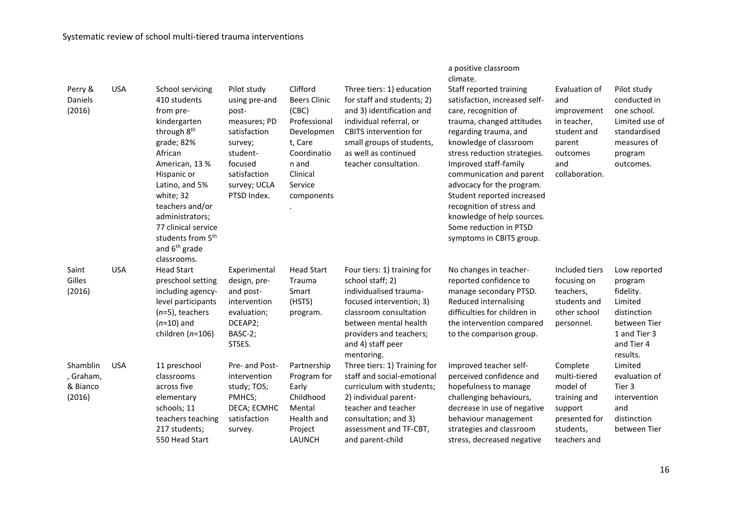|                                             |            |                                                                                                                                                                                                                                                                                                                             |                                                                                                                                                        |                                                                                                                                                |                                                                                                                                                                                                                                | climate.                                                                                                                                                                                                                                                                                                                                                                                                                          |                                                                                                                  |                                                                                                                          |
|---------------------------------------------|------------|-----------------------------------------------------------------------------------------------------------------------------------------------------------------------------------------------------------------------------------------------------------------------------------------------------------------------------|--------------------------------------------------------------------------------------------------------------------------------------------------------|------------------------------------------------------------------------------------------------------------------------------------------------|--------------------------------------------------------------------------------------------------------------------------------------------------------------------------------------------------------------------------------|-----------------------------------------------------------------------------------------------------------------------------------------------------------------------------------------------------------------------------------------------------------------------------------------------------------------------------------------------------------------------------------------------------------------------------------|------------------------------------------------------------------------------------------------------------------|--------------------------------------------------------------------------------------------------------------------------|
| Perry &<br>Daniels<br>(2016)                | <b>USA</b> | School servicing<br>410 students<br>from pre-<br>kindergarten<br>through 8 <sup>th</sup><br>grade; 82%<br>African<br>American, 13 %<br>Hispanic or<br>Latino, and 5%<br>white; 32<br>teachers and/or<br>administrators;<br>77 clinical service<br>students from 5 <sup>th</sup><br>and 6 <sup>th</sup> grade<br>classrooms. | Pilot study<br>using pre-and<br>post-<br>measures; PD<br>satisfaction<br>survey;<br>student-<br>focused<br>satisfaction<br>survey; UCLA<br>PTSD Index. | Clifford<br><b>Beers Clinic</b><br>(CBC)<br>Professional<br>Developmen<br>t, Care<br>Coordinatio<br>n and<br>Clinical<br>Service<br>components | Three tiers: 1) education<br>for staff and students; 2)<br>and 3) identification and<br>individual referral, or<br><b>CBITS</b> intervention for<br>small groups of students,<br>as well as continued<br>teacher consultation. | Staff reported training<br>satisfaction, increased self-<br>care, recognition of<br>trauma, changed attitudes<br>regarding trauma, and<br>knowledge of classroom<br>stress reduction strategies.<br>Improved staff-family<br>communication and parent<br>advocacy for the program.<br>Student reported increased<br>recognition of stress and<br>knowledge of help sources.<br>Some reduction in PTSD<br>symptoms in CBITS group. | Evaluation of<br>and<br>improvement<br>in teacher,<br>student and<br>parent<br>outcomes<br>and<br>collaboration. | Pilot study<br>conducted in<br>one school.<br>Limited use of<br>standardised<br>measures of<br>program<br>outcomes.      |
| Saint<br>Gilles<br>(2016)                   | <b>USA</b> | <b>Head Start</b><br>preschool setting<br>including agency-<br>level participants<br>$(n=5)$ , teachers<br>$(n=10)$ and<br>children ( $n=106$ )                                                                                                                                                                             | Experimental<br>design, pre-<br>and post-<br>intervention<br>evaluation;<br>DCEAP2;<br>BASC-2;<br>STSES.                                               | <b>Head Start</b><br>Trauma<br>Smart<br>(HSTS)<br>program.                                                                                     | Four tiers: 1) training for<br>school staff; 2)<br>individualised trauma-<br>focused intervention; 3)<br>classroom consultation<br>between mental health<br>providers and teachers;<br>and 4) staff peer<br>mentoring.         | No changes in teacher-<br>reported confidence to<br>manage secondary PTSD.<br>Reduced internalising<br>difficulties for children in<br>the intervention compared<br>to the comparison group.                                                                                                                                                                                                                                      | Included tiers<br>focusing on<br>teachers,<br>students and<br>other school<br>personnel.                         | Low reported<br>program<br>fidelity.<br>Limited<br>distinction<br>between Tier<br>1 and Tier 3<br>and Tier 4<br>results. |
| Shamblin<br>, Graham,<br>& Bianco<br>(2016) | <b>USA</b> | 11 preschool<br>classrooms<br>across five<br>elementary<br>schools; 11<br>teachers teaching<br>217 students;<br>550 Head Start                                                                                                                                                                                              | Pre- and Post-<br>intervention<br>study; TOS;<br>PMHCS;<br>DECA; ECMHC<br>satisfaction<br>survey.                                                      | Partnership<br>Program for<br>Early<br>Childhood<br>Mental<br>Health and<br>Project<br>LAUNCH                                                  | Three tiers: 1) Training for<br>staff and social-emotional<br>curriculum with students;<br>2) individual parent-<br>teacher and teacher<br>consultation; and 3)<br>assessment and TF-CBT,<br>and parent-child                  | Improved teacher self-<br>perceived confidence and<br>hopefulness to manage<br>challenging behaviours,<br>decrease in use of negative<br>behaviour management<br>strategies and classroom<br>stress, decreased negative                                                                                                                                                                                                           | Complete<br>multi-tiered<br>model of<br>training and<br>support<br>presented for<br>students,<br>teachers and    | Limited<br>evaluation of<br>Tier 3<br>intervention<br>and<br>distinction<br>between Tier                                 |

a positive classroom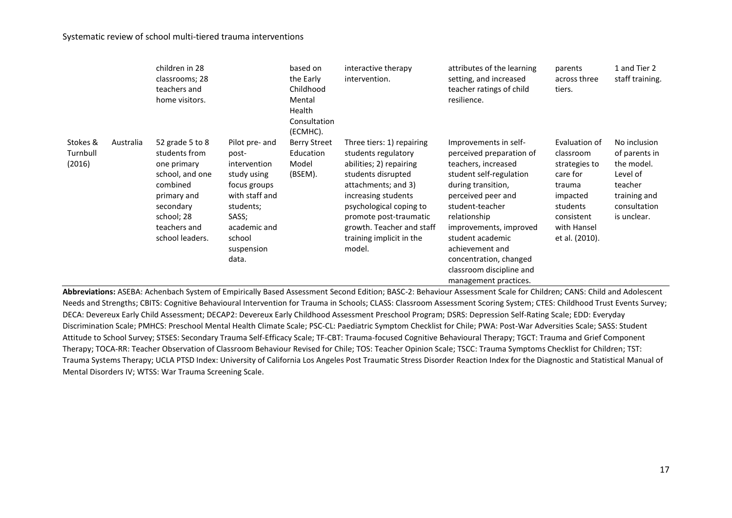|                                |           | children in 28<br>classrooms; 28<br>teachers and<br>home visitors.                                                                                          |                                                                                                                                                                 | based on<br>the Early<br>Childhood<br>Mental<br>Health<br>Consultation<br>(ECMHC). | interactive therapy<br>intervention.                                                                                                                                                                                                                                    | attributes of the learning<br>setting, and increased<br>teacher ratings of child<br>resilience.                                                                                                                                                                                                                                    | parents<br>across three<br>tiers.                                                                                                        | 1 and Tier 2<br>staff training.                                                                                   |
|--------------------------------|-----------|-------------------------------------------------------------------------------------------------------------------------------------------------------------|-----------------------------------------------------------------------------------------------------------------------------------------------------------------|------------------------------------------------------------------------------------|-------------------------------------------------------------------------------------------------------------------------------------------------------------------------------------------------------------------------------------------------------------------------|------------------------------------------------------------------------------------------------------------------------------------------------------------------------------------------------------------------------------------------------------------------------------------------------------------------------------------|------------------------------------------------------------------------------------------------------------------------------------------|-------------------------------------------------------------------------------------------------------------------|
| Stokes &<br>Turnbull<br>(2016) | Australia | 52 grade 5 to 8<br>students from<br>one primary<br>school, and one<br>combined<br>primary and<br>secondary<br>school; 28<br>teachers and<br>school leaders. | Pilot pre- and<br>post-<br>intervention<br>study using<br>focus groups<br>with staff and<br>students;<br>SASS;<br>academic and<br>school<br>suspension<br>data. | <b>Berry Street</b><br>Education<br>Model<br>(BSEM).                               | Three tiers: 1) repairing<br>students regulatory<br>abilities; 2) repairing<br>students disrupted<br>attachments; and 3)<br>increasing students<br>psychological coping to<br>promote post-traumatic<br>growth. Teacher and staff<br>training implicit in the<br>model. | Improvements in self-<br>perceived preparation of<br>teachers, increased<br>student self-regulation<br>during transition,<br>perceived peer and<br>student-teacher<br>relationship<br>improvements, improved<br>student academic<br>achievement and<br>concentration, changed<br>classroom discipline and<br>management practices. | Evaluation of<br>classroom<br>strategies to<br>care for<br>trauma<br>impacted<br>students<br>consistent<br>with Hansel<br>et al. (2010). | No inclusion<br>of parents in<br>the model.<br>Level of<br>teacher<br>training and<br>consultation<br>is unclear. |

**Abbreviations:** ASEBA: Achenbach System of Empirically Based Assessment Second Edition; BASC-2: Behaviour Assessment Scale for Children; CANS: Child and Adolescent Needs and Strengths; CBITS: Cognitive Behavioural Intervention for Trauma in Schools; CLASS: Classroom Assessment Scoring System; CTES: Childhood Trust Events Survey; DECA: Devereux Early Child Assessment; DECAP2: Devereux Early Childhood Assessment Preschool Program; DSRS: Depression Self-Rating Scale; EDD: Everyday Discrimination Scale; PMHCS: Preschool Mental Health Climate Scale; PSC-CL: Paediatric Symptom Checklist for Chile; PWA: Post-War Adversities Scale; SASS: Student Attitude to School Survey; STSES: Secondary Trauma Self-Efficacy Scale; TF-CBT: Trauma-focused Cognitive Behavioural Therapy; TGCT: Trauma and Grief Component Therapy; TOCA-RR: Teacher Observation of Classroom Behaviour Revised for Chile; TOS: Teacher Opinion Scale; TSCC: Trauma Symptoms Checklist for Children; TST: Trauma Systems Therapy; UCLA PTSD Index: University of California Los Angeles Post Traumatic Stress Disorder Reaction Index for the Diagnostic and Statistical Manual of Mental Disorders IV; WTSS: War Trauma Screening Scale.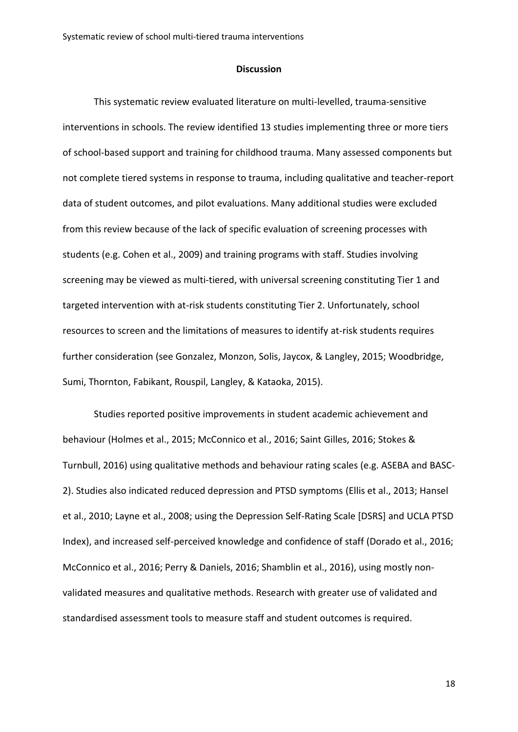### **Discussion**

This systematic review evaluated literature on multi-levelled, trauma-sensitive interventions in schools. The review identified 13 studies implementing three or more tiers of school-based support and training for childhood trauma. Many assessed components but not complete tiered systems in response to trauma, including qualitative and teacher-report data of student outcomes, and pilot evaluations. Many additional studies were excluded from this review because of the lack of specific evaluation of screening processes with students (e.g. Cohen et al., 2009) and training programs with staff. Studies involving screening may be viewed as multi-tiered, with universal screening constituting Tier 1 and targeted intervention with at-risk students constituting Tier 2. Unfortunately, school resources to screen and the limitations of measures to identify at-risk students requires further consideration (see Gonzalez, Monzon, Solis, Jaycox, & Langley, 2015; Woodbridge, Sumi, Thornton, Fabikant, Rouspil, Langley, & Kataoka, 2015).

Studies reported positive improvements in student academic achievement and behaviour (Holmes et al., 2015; McConnico et al., 2016; Saint Gilles, 2016; Stokes & Turnbull, 2016) using qualitative methods and behaviour rating scales (e.g. ASEBA and BASC-2). Studies also indicated reduced depression and PTSD symptoms (Ellis et al., 2013; Hansel et al., 2010; Layne et al., 2008; using the Depression Self-Rating Scale [DSRS] and UCLA PTSD Index), and increased self-perceived knowledge and confidence of staff (Dorado et al., 2016; McConnico et al., 2016; Perry & Daniels, 2016; Shamblin et al., 2016), using mostly nonvalidated measures and qualitative methods. Research with greater use of validated and standardised assessment tools to measure staff and student outcomes is required.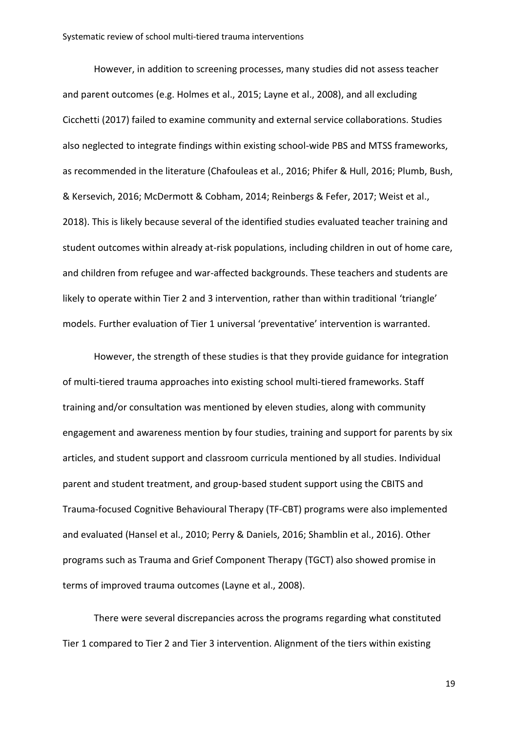However, in addition to screening processes, many studies did not assess teacher and parent outcomes (e.g. Holmes et al., 2015; Layne et al., 2008), and all excluding Cicchetti (2017) failed to examine community and external service collaborations. Studies also neglected to integrate findings within existing school-wide PBS and MTSS frameworks, as recommended in the literature (Chafouleas et al., 2016; Phifer & Hull, 2016; Plumb, Bush, & Kersevich, 2016; McDermott & Cobham, 2014; Reinbergs & Fefer, 2017; Weist et al., 2018). This is likely because several of the identified studies evaluated teacher training and student outcomes within already at-risk populations, including children in out of home care, and children from refugee and war-affected backgrounds. These teachers and students are likely to operate within Tier 2 and 3 intervention, rather than within traditional 'triangle' models. Further evaluation of Tier 1 universal 'preventative' intervention is warranted.

However, the strength of these studies is that they provide guidance for integration of multi-tiered trauma approaches into existing school multi-tiered frameworks. Staff training and/or consultation was mentioned by eleven studies, along with community engagement and awareness mention by four studies, training and support for parents by six articles, and student support and classroom curricula mentioned by all studies. Individual parent and student treatment, and group-based student support using the CBITS and Trauma-focused Cognitive Behavioural Therapy (TF-CBT) programs were also implemented and evaluated (Hansel et al., 2010; Perry & Daniels, 2016; Shamblin et al., 2016). Other programs such as Trauma and Grief Component Therapy (TGCT) also showed promise in terms of improved trauma outcomes (Layne et al., 2008).

There were several discrepancies across the programs regarding what constituted Tier 1 compared to Tier 2 and Tier 3 intervention. Alignment of the tiers within existing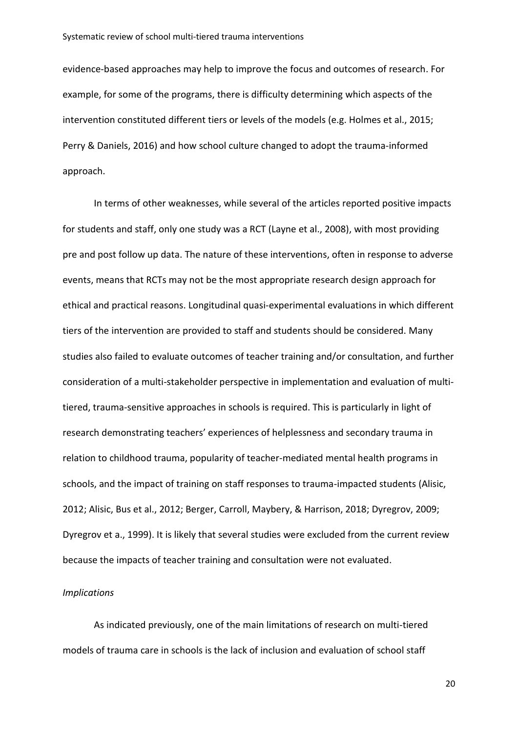evidence-based approaches may help to improve the focus and outcomes of research. For example, for some of the programs, there is difficulty determining which aspects of the intervention constituted different tiers or levels of the models (e.g. Holmes et al., 2015; Perry & Daniels, 2016) and how school culture changed to adopt the trauma-informed approach.

In terms of other weaknesses, while several of the articles reported positive impacts for students and staff, only one study was a RCT (Layne et al., 2008), with most providing pre and post follow up data. The nature of these interventions, often in response to adverse events, means that RCTs may not be the most appropriate research design approach for ethical and practical reasons. Longitudinal quasi-experimental evaluations in which different tiers of the intervention are provided to staff and students should be considered. Many studies also failed to evaluate outcomes of teacher training and/or consultation, and further consideration of a multi-stakeholder perspective in implementation and evaluation of multitiered, trauma-sensitive approaches in schools is required. This is particularly in light of research demonstrating teachers' experiences of helplessness and secondary trauma in relation to childhood trauma, popularity of teacher-mediated mental health programs in schools, and the impact of training on staff responses to trauma-impacted students (Alisic, 2012; Alisic, Bus et al., 2012; Berger, Carroll, Maybery, & Harrison, 2018; Dyregrov, 2009; Dyregrov et a., 1999). It is likely that several studies were excluded from the current review because the impacts of teacher training and consultation were not evaluated.

#### *Implications*

As indicated previously, one of the main limitations of research on multi-tiered models of trauma care in schools is the lack of inclusion and evaluation of school staff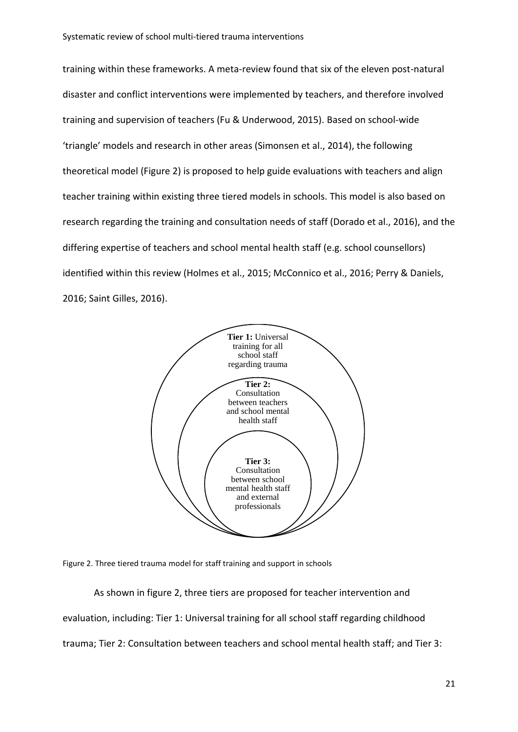training within these frameworks. A meta-review found that six of the eleven post-natural disaster and conflict interventions were implemented by teachers, and therefore involved training and supervision of teachers (Fu & Underwood, 2015). Based on school-wide 'triangle' models and research in other areas (Simonsen et al., 2014), the following theoretical model (Figure 2) is proposed to help guide evaluations with teachers and align teacher training within existing three tiered models in schools. This model is also based on research regarding the training and consultation needs of staff (Dorado et al., 2016), and the differing expertise of teachers and school mental health staff (e.g. school counsellors) identified within this review (Holmes et al., 2015; McConnico et al., 2016; Perry & Daniels, 2016; Saint Gilles, 2016).



Figure 2. Three tiered trauma model for staff training and support in schools

As shown in figure 2, three tiers are proposed for teacher intervention and evaluation, including: Tier 1: Universal training for all school staff regarding childhood trauma; Tier 2: Consultation between teachers and school mental health staff; and Tier 3: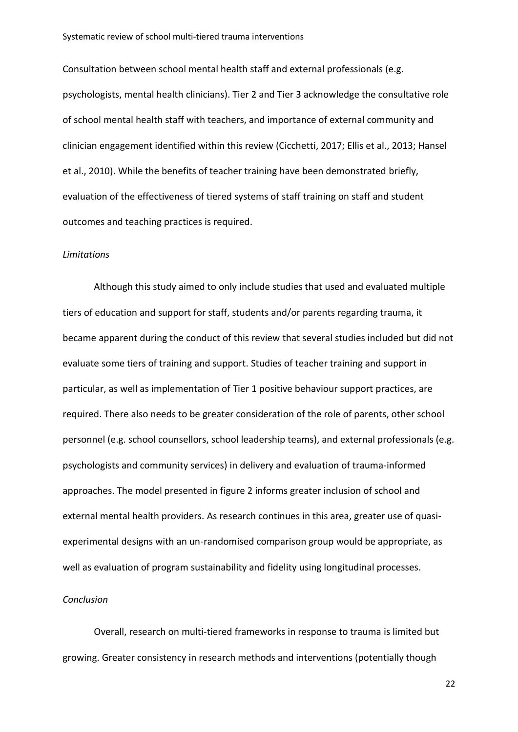Consultation between school mental health staff and external professionals (e.g. psychologists, mental health clinicians). Tier 2 and Tier 3 acknowledge the consultative role of school mental health staff with teachers, and importance of external community and clinician engagement identified within this review (Cicchetti, 2017; Ellis et al., 2013; Hansel et al., 2010). While the benefits of teacher training have been demonstrated briefly, evaluation of the effectiveness of tiered systems of staff training on staff and student outcomes and teaching practices is required.

# *Limitations*

Although this study aimed to only include studies that used and evaluated multiple tiers of education and support for staff, students and/or parents regarding trauma, it became apparent during the conduct of this review that several studies included but did not evaluate some tiers of training and support. Studies of teacher training and support in particular, as well as implementation of Tier 1 positive behaviour support practices, are required. There also needs to be greater consideration of the role of parents, other school personnel (e.g. school counsellors, school leadership teams), and external professionals (e.g. psychologists and community services) in delivery and evaluation of trauma-informed approaches. The model presented in figure 2 informs greater inclusion of school and external mental health providers. As research continues in this area, greater use of quasiexperimental designs with an un-randomised comparison group would be appropriate, as well as evaluation of program sustainability and fidelity using longitudinal processes.

# *Conclusion*

Overall, research on multi-tiered frameworks in response to trauma is limited but growing. Greater consistency in research methods and interventions (potentially though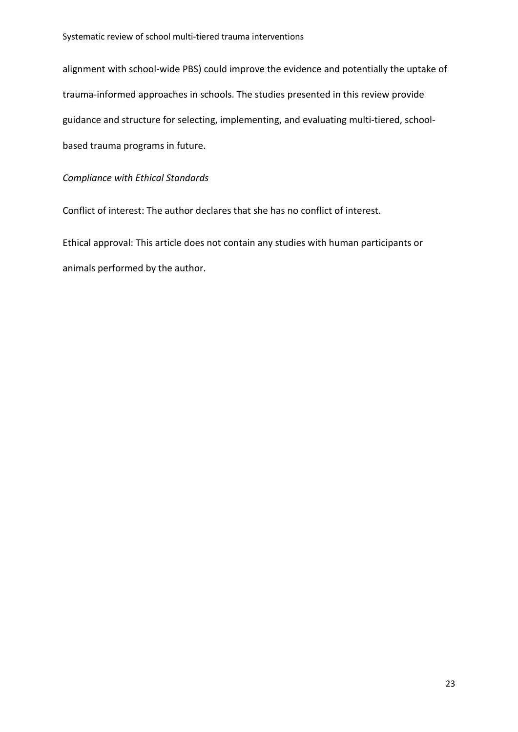alignment with school-wide PBS) could improve the evidence and potentially the uptake of trauma-informed approaches in schools. The studies presented in this review provide guidance and structure for selecting, implementing, and evaluating multi-tiered, schoolbased trauma programs in future.

# *Compliance with Ethical Standards*

Conflict of interest: The author declares that she has no conflict of interest.

Ethical approval: This article does not contain any studies with human participants or animals performed by the author.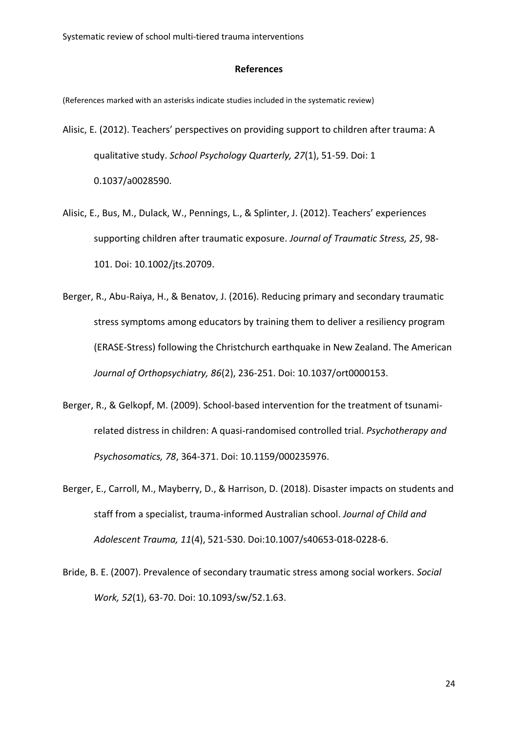### **References**

(References marked with an asterisks indicate studies included in the systematic review)

- Alisic, E. (2012). Teachers' perspectives on providing support to children after trauma: A qualitative study. *School Psychology Quarterly, 27*(1), 51-59. Doi: 1 0.1037/a0028590.
- Alisic, E., Bus, M., Dulack, W., Pennings, L., & Splinter, J. (2012). Teachers' experiences supporting children after traumatic exposure. *Journal of Traumatic Stress, 25*, 98- 101. Doi: 10.1002/jts.20709.
- Berger, R., Abu-Raiya, H., & Benatov, J. (2016). Reducing primary and secondary traumatic stress symptoms among educators by training them to deliver a resiliency program (ERASE-Stress) following the Christchurch earthquake in New Zealand. The American *Journal of Orthopsychiatry, 86*(2), 236-251. Doi: 10.1037/ort0000153.
- Berger, R., & Gelkopf, M. (2009). School-based intervention for the treatment of tsunamirelated distress in children: A quasi-randomised controlled trial. *Psychotherapy and Psychosomatics, 78*, 364-371. Doi: [10.1159/000235976.](https://doi.org/10.1159/000235976)
- Berger, E., Carroll, M., Mayberry, D., & Harrison, D. (2018). Disaster impacts on students and staff from a specialist, trauma-informed Australian school. *Journal of Child and Adolescent Trauma, 11*(4), 521-530. Doi:10.1007/s40653-018-0228-6.
- Bride, B. E. (2007). Prevalence of secondary traumatic stress among social workers. *Social Work, 52*(1), 63-70. Doi: 10.1093/sw/52.1.63.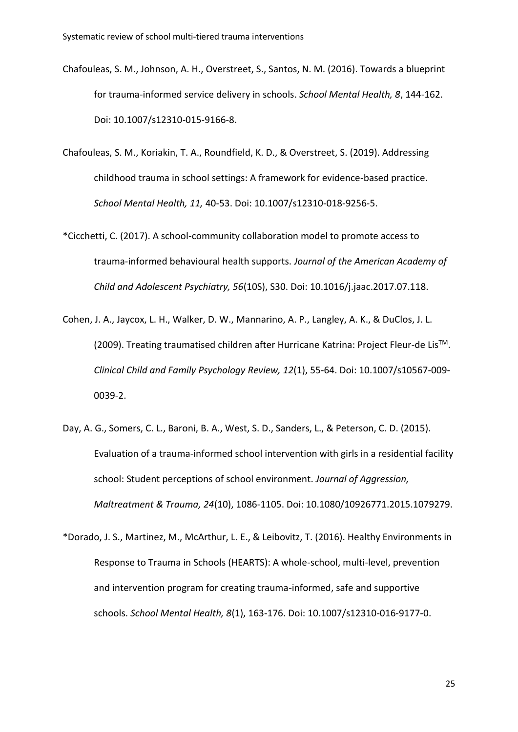- Chafouleas, S. M., Johnson, A. H., Overstreet, S., Santos, N. M. (2016). Towards a blueprint for trauma-informed service delivery in schools. *School Mental Health, 8*, 144-162. Doi: 10.1007/s12310-015-9166-8.
- Chafouleas, S. M., Koriakin, T. A., Roundfield, K. D., & Overstreet, S. (2019). Addressing childhood trauma in school settings: A framework for evidence-based practice. *School Mental Health, 11,* 40-53. Doi: 10.1007/s12310-018-9256-5.
- \*Cicchetti, C. (2017). A school-community collaboration model to promote access to trauma-informed behavioural health supports. *Journal of the American Academy of Child and Adolescent Psychiatry, 56*(10S), S30. Doi: 10.1016/j.jaac.2017.07.118.
- Cohen, J. A., Jaycox, L. H., Walker, D. W., Mannarino, A. P., Langley, A. K., & DuClos, J. L. (2009). Treating traumatised children after Hurricane Katrina: Project Fleur-de LisTM. *Clinical Child and Family Psychology Review, 12*(1), 55-64. Doi: 10.1007/s10567-009- 0039-2.
- Day, A. G., Somers, C. L., Baroni, B. A., West, S. D., Sanders, L., & Peterson, C. D. (2015). Evaluation of a trauma-informed school intervention with girls in a residential facility school: Student perceptions of school environment. *Journal of Aggression, Maltreatment & Trauma, 24*(10), 1086-1105. Doi: 10.1080/10926771.2015.1079279.
- \*Dorado, J. S., Martinez, M., McArthur, L. E., & Leibovitz, T. (2016). Healthy Environments in Response to Trauma in Schools (HEARTS): A whole-school, multi-level, prevention and intervention program for creating trauma-informed, safe and supportive schools. *School Mental Health, 8*(1), 163-176. Doi: [10.1007/s12310-016-9177-0.](http://psycnet.apa.org/doi/10.1007/s12310-016-9177-0)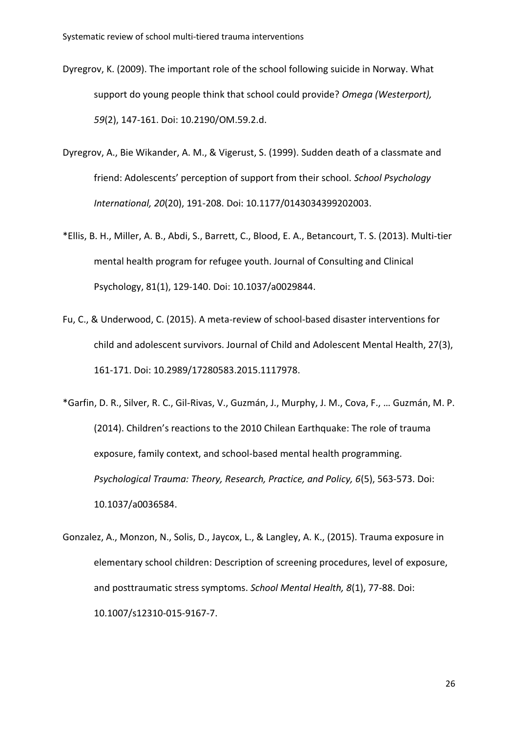- Dyregrov, K. (2009). The important role of the school following suicide in Norway. What support do young people think that school could provide? *Omega (Westerport), 59*(2), 147-161. Doi: 10.2190/OM.59.2.d.
- Dyregrov, A., Bie Wikander, A. M., & Vigerust, S. (1999). Sudden death of a classmate and friend: Adolescents' perception of support from their school. *School Psychology International, 20*(20), 191-208. Doi: 10.1177/0143034399202003.
- \*Ellis, B. H., Miller, A. B., Abdi, S., Barrett, C., Blood, E. A., Betancourt, T. S. (2013). Multi-tier mental health program for refugee youth. Journal of Consulting and Clinical Psychology, 81(1), 129-140. Doi: 10.1037/a0029844.
- Fu, C., & Underwood, C. (2015). A meta-review of school-based disaster interventions for child and adolescent survivors. Journal of Child and Adolescent Mental Health, 27(3), 161-171. Doi: 10.2989/17280583.2015.1117978.
- \*Garfin, D. R., Silver, R. C., Gil-Rivas, V., Guzmán, J., Murphy, J. M., Cova, F., … Guzmán, M. P. (2014). Children's reactions to the 2010 Chilean Earthquake: The role of trauma exposure, family context, and school-based mental health programming. *Psychological Trauma: Theory, Research, Practice, and Policy, 6*(5), 563-573. Doi: [10.1037/a0036584.](http://psycnet.apa.org/doi/10.1037/a0036584)
- Gonzalez, A., Monzon, N., Solis, D., Jaycox, L., & Langley, A. K., (2015). Trauma exposure in elementary school children: Description of screening procedures, level of exposure, and posttraumatic stress symptoms. *School Mental Health, 8*(1), 77-88. Doi: 10.1007/s12310-015-9167-7.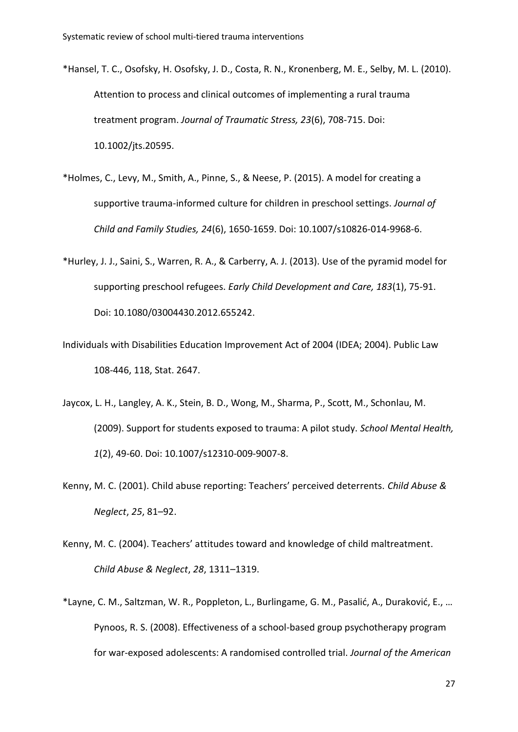- \*Hansel, T. C., Osofsky, H. Osofsky, J. D., Costa, R. N., Kronenberg, M. E., Selby, M. L. (2010). Attention to process and clinical outcomes of implementing a rural trauma treatment program. *Journal of Traumatic Stress, 23*(6), 708-715. Doi: 10.1002/jts.20595.
- \*Holmes, C., Levy, M., Smith, A., Pinne, S., & Neese, P. (2015). A model for creating a supportive trauma-informed culture for children in preschool settings. *Journal of Child and Family Studies, 24*(6), 1650-1659. Doi: 10.1007/s10826-014-9968-6.
- \*Hurley, J. J., Saini, S., Warren, R. A., & Carberry, A. J. (2013). Use of the pyramid model for supporting preschool refugees. *Early Child Development and Care, 183*(1), 75-91. Doi: 10.1080/03004430.2012.655242.
- Individuals with Disabilities Education Improvement Act of 2004 (IDEA; 2004). Public Law 108-446, 118, Stat. 2647.
- Jaycox, L. H., Langley, A. K., Stein, B. D., Wong, M., Sharma, P., Scott, M., Schonlau, M. (2009). Support for students exposed to trauma: A pilot study. *School Mental Health, 1*(2), 49-60. Doi: [10.1007/s12310-009-9007-8.](https://dx.doi.org/10.1007%2Fs12310-009-9007-8)
- Kenny, M. C. (2001). Child abuse reporting: Teachers' perceived deterrents. *Child Abuse & Neglect*, *25*, 81–92.
- Kenny, M. C. (2004). Teachers' attitudes toward and knowledge of child maltreatment. *Child Abuse & Neglect*, *28*, 1311–1319.
- \*Layne, C. M., Saltzman, W. R., Poppleton, L., Burlingame, G. M., Pasalić, A., Duraković, E., … Pynoos, R. S. (2008). Effectiveness of a school-based group psychotherapy program for war-exposed adolescents: A randomised controlled trial. *Journal of the American*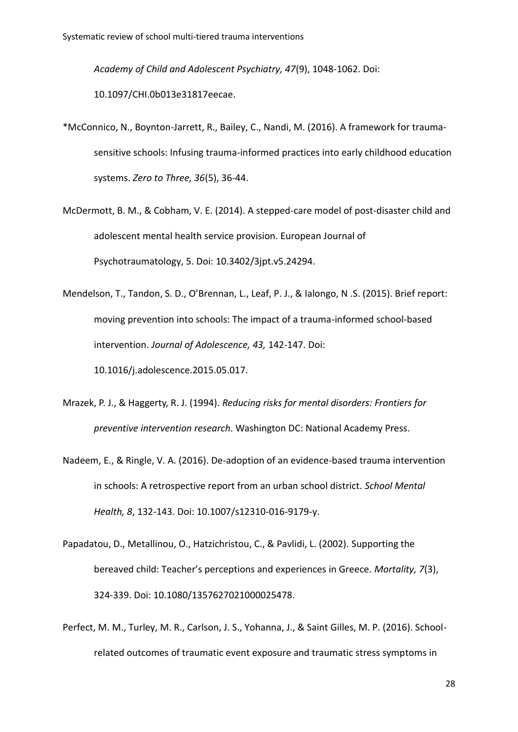*Academy of Child and Adolescent Psychiatry, 47*(9), 1048-1062. Doi: 10.1097/CHI.0b013e31817eecae.

- \*McConnico, N., Boynton-Jarrett, R., Bailey, C., Nandi, M. (2016). A framework for traumasensitive schools: Infusing trauma-informed practices into early childhood education systems. *Zero to Three, 36*(5), 36-44.
- McDermott, B. M., & Cobham, V. E. (2014). A stepped-care model of post-disaster child and adolescent mental health service provision. European Journal of Psychotraumatology, 5. Doi: 10.3402/3jpt.v5.24294.

Mendelson, T., Tandon, S. D., O'Brennan, L., Leaf, P. J., & Ialongo, N .S. (2015). Brief report: moving prevention into schools: The impact of a trauma-informed school-based intervention. *Journal of Adolescence, 43,* 142-147. Doi: 10.1016/j.adolescence.2015.05.017.

- Mrazek, P. J., & Haggerty, R. J. (1994). *Reducing risks for mental disorders: Frontiers for preventive intervention research*. Washington DC: National Academy Press.
- Nadeem, E., & Ringle, V. A. (2016). De-adoption of an evidence-based trauma intervention in schools: A retrospective report from an urban school district. *School Mental Health, 8*, 132-143. Doi: 10.1007/s12310-016-9179-y.
- Papadatou, D., Metallinou, O., Hatzichristou, C., & Pavlidi, L. (2002). Supporting the bereaved child: Teacher's perceptions and experiences in Greece. *Mortality, 7*(3), 324-339. Doi: [10.1080/1357627021000025478.](http://dx.doi.org/10.1080/1357627021000025478)
- Perfect, M. M., Turley, M. R., Carlson, J. S., Yohanna, J., & Saint Gilles, M. P. (2016). Schoolrelated outcomes of traumatic event exposure and traumatic stress symptoms in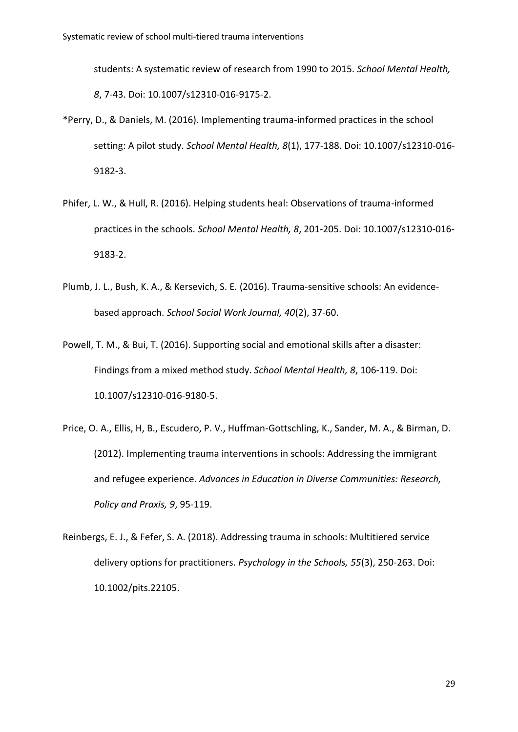students: A systematic review of research from 1990 to 2015. *School Mental Health, 8*, 7-43. Doi: 10.1007/s12310-016-9175-2.

- \*Perry, D., & Daniels, M. (2016). Implementing trauma-informed practices in the school setting: A pilot study. *School Mental Health, 8*(1), 177-188. Doi: 10.1007/s12310-016- 9182-3.
- Phifer, L. W., & Hull, R. (2016). Helping students heal: Observations of trauma-informed practices in the schools. *School Mental Health, 8*, 201-205. Doi: 10.1007/s12310-016- 9183-2.
- Plumb, J. L., Bush, K. A., & Kersevich, S. E. (2016). Trauma-sensitive schools: An evidencebased approach. *School Social Work Journal, 40*(2), 37-60.
- Powell, T. M., & Bui, T. (2016). Supporting social and emotional skills after a disaster: Findings from a mixed method study. *School Mental Health, 8*, 106-119. Doi: 10.1007/s12310-016-9180-5.
- Price, O. A., Ellis, H, B., Escudero, P. V., Huffman-Gottschling, K., Sander, M. A., & Birman, D. (2012). Implementing trauma interventions in schools: Addressing the immigrant and refugee experience. *Advances in Education in Diverse Communities: Research, Policy and Praxis, 9*, 95-119.
- Reinbergs, E. J., & Fefer, S. A. (2018). Addressing trauma in schools: Multitiered service delivery options for practitioners. *Psychology in the Schools, 55*(3), 250-263. Doi: 10.1002/pits.22105.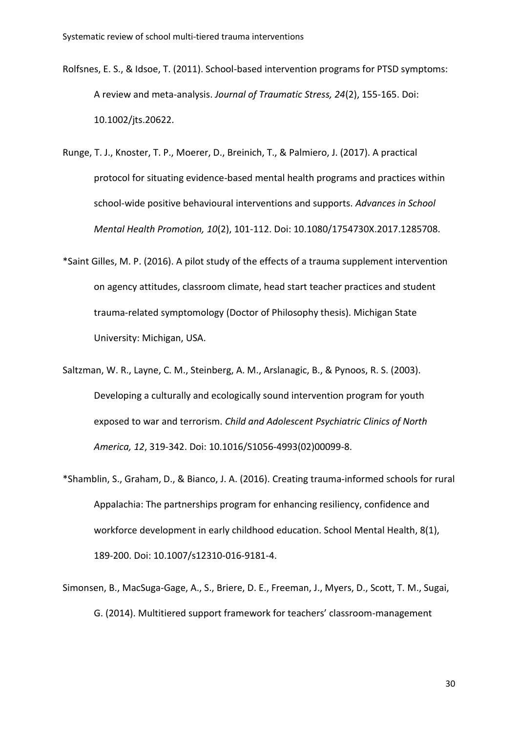- Rolfsnes, E. S., & Idsoe, T. (2011). School-based intervention programs for PTSD symptoms: A review and meta-analysis. *Journal of Traumatic Stress, 24*(2), 155-165. Doi: 10.1002/jts.20622.
- Runge, T. J., Knoster, T. P., Moerer, D., Breinich, T., & Palmiero, J. (2017). A practical protocol for situating evidence-based mental health programs and practices within school-wide positive behavioural interventions and supports. *Advances in School Mental Health Promotion, 10*(2), 101-112. Doi: 10.1080/1754730X.2017.1285708.
- \*Saint Gilles, M. P. (2016). A pilot study of the effects of a trauma supplement intervention on agency attitudes, classroom climate, head start teacher practices and student trauma-related symptomology (Doctor of Philosophy thesis). Michigan State University: Michigan, USA.
- Saltzman, W. R., Layne, C. M., Steinberg, A. M., Arslanagic, B., & Pynoos, R. S. (2003). Developing a culturally and ecologically sound intervention program for youth exposed to war and terrorism. *Child and Adolescent Psychiatric Clinics of North America, 12*, 319-342. Doi: 10.1016/S1056-4993(02)00099-8.
- \*Shamblin, S., Graham, D., & Bianco, J. A. (2016). Creating trauma-informed schools for rural Appalachia: The partnerships program for enhancing resiliency, confidence and workforce development in early childhood education. School Mental Health, 8(1), 189-200. Doi: 10.1007/s12310-016-9181-4.
- Simonsen, B., MacSuga-Gage, A., S., Briere, D. E., Freeman, J., Myers, D., Scott, T. M., Sugai, G. (2014). Multitiered support framework for teachers' classroom-management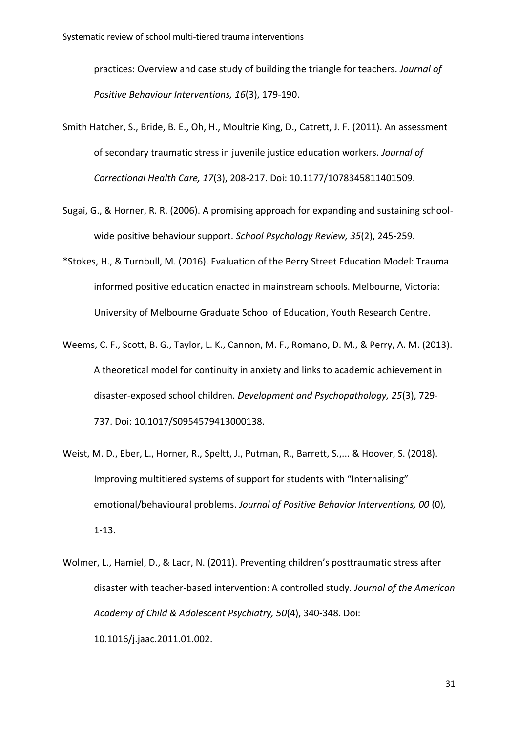practices: Overview and case study of building the triangle for teachers. *Journal of Positive Behaviour Interventions, 16*(3), 179-190.

- Smith Hatcher, S., Bride, B. E., Oh, H., Moultrie King, D., Catrett, J. F. (2011). An assessment of secondary traumatic stress in juvenile justice education workers. *Journal of Correctional Health Care, 17*(3), 208-217. Doi: 10.1177/1078345811401509.
- Sugai, G., & Horner, R. R. (2006). A promising approach for expanding and sustaining schoolwide positive behaviour support. *School Psychology Review, 35*(2), 245-259.
- \*Stokes, H., & Turnbull, M. (2016). Evaluation of the Berry Street Education Model: Trauma informed positive education enacted in mainstream schools. Melbourne, Victoria: University of Melbourne Graduate School of Education, Youth Research Centre.
- Weems, C. F., Scott, B. G., Taylor, L. K., Cannon, M. F., Romano, D. M., & Perry, A. M. (2013). A theoretical model for continuity in anxiety and links to academic achievement in disaster-exposed school children. *Development and Psychopathology, 25*(3), 729- 737. Doi: [10.1017/S0954579413000138.](https://doi.org/10.1017/S0954579413000138)
- Weist, M. D., Eber, L., Horner, R., Speltt, J., Putman, R., Barrett, S.,... & Hoover, S. (2018). Improving multitiered systems of support for students with "Internalising" emotional/behavioural problems. *Journal of Positive Behavior Interventions, 00* (0), 1-13.
- Wolmer, L., Hamiel, D., & Laor, N. (2011). Preventing children's posttraumatic stress after disaster with teacher-based intervention: A controlled study. *Journal of the American Academy of Child & Adolescent Psychiatry, 50*(4), 340-348. Doi: 10.1016/j.jaac.2011.01.002.